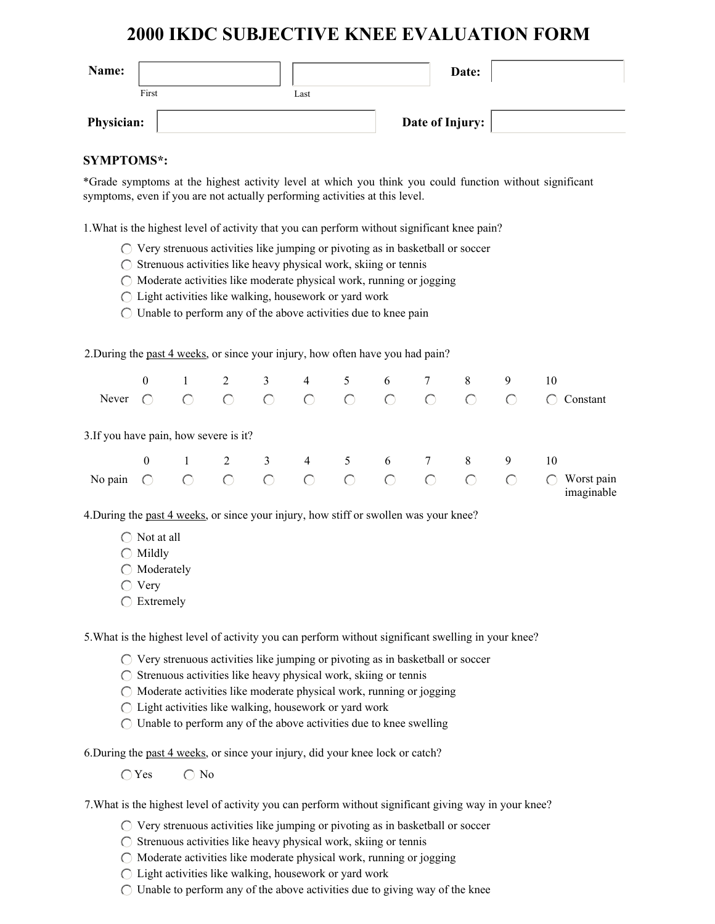# **2000 IKDC SUBJECTIVE KNEE EVALUATION FORM**

| Name:             |       |      | Date:           |  |
|-------------------|-------|------|-----------------|--|
|                   | First | Last |                 |  |
| <b>Physician:</b> |       |      | Date of Injury: |  |

## **SYMPTOMS\*:**

\*Grade symptoms at the highest activity level at which you think you could function without significant symptoms, even if you are not actually performing activities at this level.

1.What is the highest level of activity that you can perform without significant knee pain?

- $\bigcirc$  Very strenuous activities like jumping or pivoting as in basketball or soccer
- $\bigcirc$  Strenuous activities like heavy physical work, skiing or tennis
- $\bigcirc$  Moderate activities like moderate physical work, running or jogging
- Light activities like walking, housework or yard work
- $\bigcirc$  Unable to perform any of the above activities due to knee pain

2.During the past 4 weeks, or since your injury, how often have you had pain?

|                                        | $\overline{0}$                                | $\mathbf{1}$                                  | 2          | 3               | $\overline{4}$        | 5 <sup>5</sup>                                                                    | 6              | 7          | 8          | 9         | 10                       |
|----------------------------------------|-----------------------------------------------|-----------------------------------------------|------------|-----------------|-----------------------|-----------------------------------------------------------------------------------|----------------|------------|------------|-----------|--------------------------|
| Never                                  |                                               |                                               | $\bigcap$  | $\bigcap$       | $\bigcirc$            | $\begin{array}{ccccc}\n\cdot & & & \circ & \\ \circ & & & \circ & \\ \end{array}$ | $\overline{O}$ | $\bigcap$  | $\bigcap$  |           | Constant                 |
| 3. If you have pain, how severe is it? |                                               |                                               |            |                 |                       |                                                                                   |                |            |            |           |                          |
|                                        | $\theta$                                      | $\sim$ $1$                                    |            |                 | $2 \qquad 3 \qquad 4$ |                                                                                   | 5 6 7          |            | 8          | 9         | 10                       |
| No pain                                | $\left( \begin{array}{c} \end{array} \right)$ | $\left( \begin{array}{c} \end{array} \right)$ | $\bigcirc$ | $\circ$ $\circ$ |                       | $O$ $O$                                                                           | $\overline{O}$ | $\bigcirc$ | $\bigcirc$ | $\bigcap$ | Worst pain<br>imaginable |

4.During the past 4 weeks, or since your injury, how stiff or swollen was your knee?

- $\bigcap$  Not at all
- $\bigcirc$  Mildly
- $\bigcirc$  Moderately
- $\bigcirc$  Very
- ◯ Extremely

5.What is the highest level of activity you can perform without significant swelling in your knee?

 $\bigcirc$  Very strenuous activities like jumping or pivoting as in basketball or soccer

 $\bigcirc$  Strenuous activities like heavy physical work, skiing or tennis

 $\bigcirc$  Moderate activities like moderate physical work, running or jogging

Light activities like walking, housework or yard work

 $\bigcirc$  Unable to perform any of the above activities due to knee swelling

6.During the past 4 weeks, or since your injury, did your knee lock or catch?

 $\bigcap$  Yes  $\bigcap$  No

7.What is the highest level of activity you can perform without significant giving way in your knee?

- $\circlearrowright$  Very strenuous activities like jumping or pivoting as in basketball or soccer
- $\bigcirc$  Strenuous activities like heavy physical work, skiing or tennis
- $\bigcirc$  Moderate activities like moderate physical work, running or jogging
- $\bigcirc$  Light activities like walking, housework or yard work
- $\bigcirc$  Unable to perform any of the above activities due to giving way of the knee